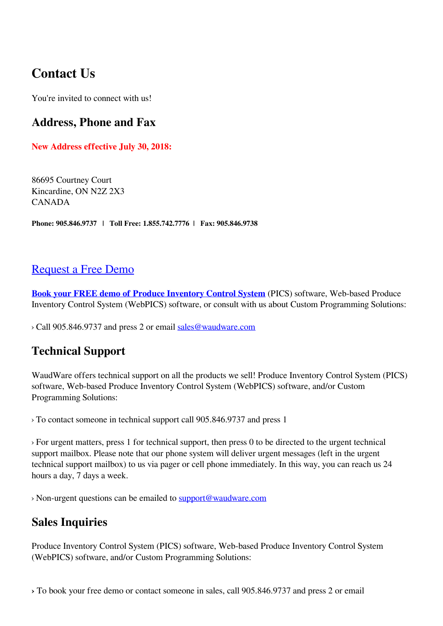# **Contact Us**

You're invited to connect with us!

#### **Address, Phone and Fax**

**New Address effective July 30, 2018:**

86695 Courtney Court Kincardine, ON N2Z 2X3 CANADA

**Phone: 905.846.9737 | Toll Free: 1.855.742.7776 | Fax: 905.846.9738**

#### [Request a Free Demo](https://produceinventory.com/book-produce-inventory-free-demo.html)

**[Book your FREE demo of Produce Inventory Control System](https://produceinventory.com/book-produce-inventory-free-demo.html)** (PICS) software, Web-based Produce Inventory Control System (WebPICS) software, or consult with us about Custom Programming Solutions:

› Call 905.846.9737 and press 2 or email [sales@waudware.com](mailto:sales@waudware.com?subject=Sales%20Inquiry)

### **Technical Support**

WaudWare offers technical support on all the products we sell! Produce Inventory Control System (PICS) software, Web-based Produce Inventory Control System (WebPICS) software, and/or Custom Programming Solutions:

› To contact someone in technical support call 905.846.9737 and press 1

› For urgent matters, press 1 for technical support, then press 0 to be directed to the urgent technical support mailbox. Please note that our phone system will deliver urgent messages (left in the urgent technical support mailbox) to us via pager or cell phone immediately. In this way, you can reach us 24 hours a day, 7 days a week.

› Non-urgent questions can be emailed to [support@waudware.com](mailto:support@waudware.com?subject=Technical%20Support%20-%20Web%20Inquiry)

### **Sales Inquiries**

Produce Inventory Control System (PICS) software, Web-based Produce Inventory Control System (WebPICS) software, and/or Custom Programming Solutions:

**›** To book your free demo or contact someone in sales, call 905.846.9737 and press 2 or email